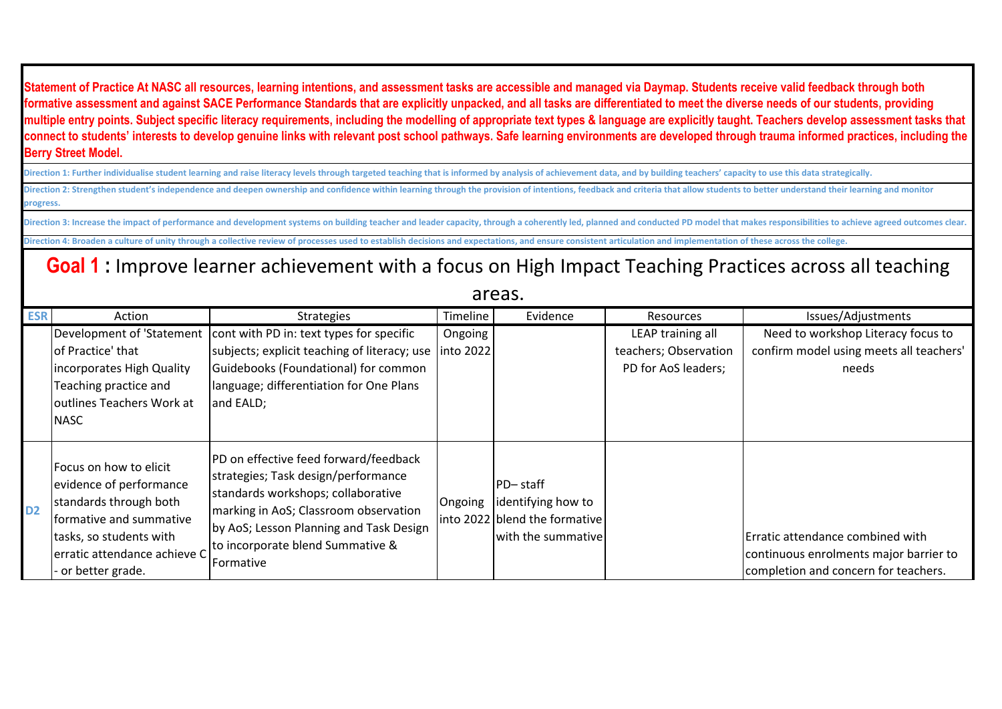**Statement of Practice At NASC all resources, learning intentions, and assessment tasks are accessible and managed via Daymap. Students receive valid feedback through both formative assessment and against SACE Performance Standards that are explicitly unpacked, and all tasks are differentiated to meet the diverse needs of our students, providing multiple entry points. Subject specific literacy requirements, including the modelling of appropriate text types & language are explicitly taught. Teachers develop assessment tasks that connect to students' interests to develop genuine links with relevant post school pathways. Safe learning environments are developed through trauma informed practices, including the Berry Street Model.**

Direction 2: Strengthen student's independence and deepen ownership and confidence within learning through the provision of intentions, feedback and criteria that allow students to better understand their learning and moni **progress.** Direction 1: Further individualise student learning and raise literacy levels through targeted teaching that is informed by analysis of achievement data, and by building teachers' capacity to use this data strategically.

Direction 3: Increase the impact of performance and development systems on building teacher and leader capacity, through a coherently led, planned and conducted PD model that makes responsibilities to achieve agreed outcom **Direction 4: Broaden a culture of unity through a collective review of processes used to establish decisions and expectations, and ensure consistent articulation and implementation of these across the college.**

**Goal 1 :** Improve learner achievement with a focus on High Impact Teaching Practices across all teaching

## areas.

| <b>ESR</b>     | Action                                                                                                                                                                                  | <b>Strategies</b>                                                                                                                                                                                                                                               | Timeline             | Evidence                                                                                     | Resources                                                         | Issues/Adjustments                                                                                                 |
|----------------|-----------------------------------------------------------------------------------------------------------------------------------------------------------------------------------------|-----------------------------------------------------------------------------------------------------------------------------------------------------------------------------------------------------------------------------------------------------------------|----------------------|----------------------------------------------------------------------------------------------|-------------------------------------------------------------------|--------------------------------------------------------------------------------------------------------------------|
|                | Development of 'Statement<br>of Practice' that<br>incorporates High Quality<br>Teaching practice and<br>outlines Teachers Work at<br><b>NASC</b>                                        | cont with PD in: text types for specific<br>subjects; explicit teaching of literacy; use<br>Guidebooks (Foundational) for common<br>language; differentiation for One Plans<br>and EALD;                                                                        | Ongoing<br>into 2022 |                                                                                              | LEAP training all<br>teachers; Observation<br>PD for AoS leaders; | Need to workshop Literacy focus to<br>confirm model using meets all teachers'<br>needs                             |
| D <sub>2</sub> | Focus on how to elicit<br>evidence of performance<br>standards through both<br>formative and summative<br>tasks, so students with<br>erratic attendance achieve C<br>- or better grade. | PD on effective feed forward/feedback<br>strategies; Task design/performance<br>standards workshops; collaborative<br>marking in AoS; Classroom observation<br>by AoS; Lesson Planning and Task Design<br>to incorporate blend Summative &<br><b>IFormative</b> | Ongoing              | <b>PD-staff</b><br>identifying how to<br>into 2022 blend the formative<br>with the summative |                                                                   | Erratic attendance combined with<br>continuous enrolments major barrier to<br>completion and concern for teachers. |